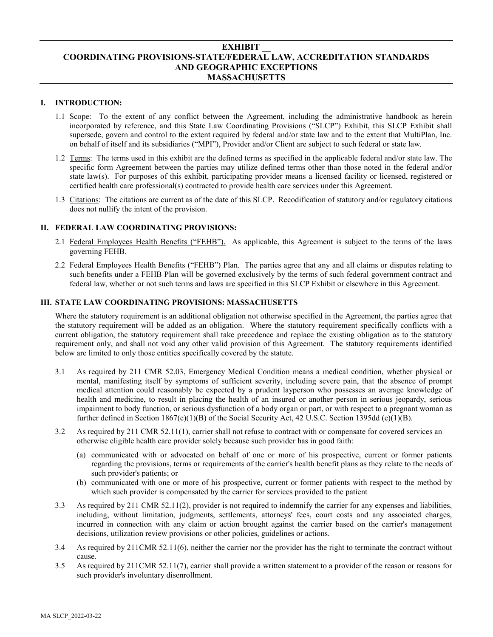# **EXHIBIT \_\_ COORDINATING PROVISIONS-STATE/FEDERAL LAW, ACCREDITATION STANDARDS AND GEOGRAPHIC EXCEPTIONS MASSACHUSETTS**

# **I. INTRODUCTION:**

- 1.1 Scope: To the extent of any conflict between the Agreement, including the administrative handbook as herein incorporated by reference, and this State Law Coordinating Provisions ("SLCP") Exhibit, this SLCP Exhibit shall supersede, govern and control to the extent required by federal and/or state law and to the extent that MultiPlan, Inc. on behalf of itself and its subsidiaries ("MPI"), Provider and/or Client are subject to such federal or state law.
- 1.2 Terms: The terms used in this exhibit are the defined terms as specified in the applicable federal and/or state law. The specific form Agreement between the parties may utilize defined terms other than those noted in the federal and/or state law(s). For purposes of this exhibit, participating provider means a licensed facility or licensed, registered or certified health care professional(s) contracted to provide health care services under this Agreement.
- 1.3 Citations: The citations are current as of the date of this SLCP. Recodification of statutory and/or regulatory citations does not nullify the intent of the provision.

# **II. FEDERAL LAW COORDINATING PROVISIONS:**

- 2.1 Federal Employees Health Benefits ("FEHB"). As applicable, this Agreement is subject to the terms of the laws governing FEHB.
- 2.2 Federal Employees Health Benefits ("FEHB") Plan. The parties agree that any and all claims or disputes relating to such benefits under a FEHB Plan will be governed exclusively by the terms of such federal government contract and federal law, whether or not such terms and laws are specified in this SLCP Exhibit or elsewhere in this Agreement.

# **III. STATE LAW COORDINATING PROVISIONS: MASSACHUSETTS**

Where the statutory requirement is an additional obligation not otherwise specified in the Agreement, the parties agree that the statutory requirement will be added as an obligation. Where the statutory requirement specifically conflicts with a current obligation, the statutory requirement shall take precedence and replace the existing obligation as to the statutory requirement only, and shall not void any other valid provision of this Agreement. The statutory requirements identified below are limited to only those entities specifically covered by the statute.

- 3.1 As required by 211 CMR 52.03, Emergency Medical Condition means a medical condition, whether physical or mental, manifesting itself by symptoms of sufficient severity, including severe pain, that the absence of prompt medical attention could reasonably be expected by a prudent layperson who possesses an average knowledge of health and medicine, to result in placing the health of an insured or another person in serious jeopardy, serious impairment to body function, or serious dysfunction of a body organ or part, or with respect to a pregnant woman as further defined in Section 1867(e)(1)(B) of the Social Security Act, 42 U.S.C. Section 1395dd (e)(1)(B).
- 3.2 As required by 211 CMR 52.11(1), carrier shall not refuse to contract with or compensate for covered services an otherwise eligible health care provider solely because such provider has in good faith:
	- (a) communicated with or advocated on behalf of one or more of his prospective, current or former patients regarding the provisions, terms or requirements of the carrier's health benefit plans as they relate to the needs of such provider's patients; or
	- (b) communicated with one or more of his prospective, current or former patients with respect to the method by which such provider is compensated by the carrier for services provided to the patient
- 3.3 As required by 211 CMR 52.11(2), provider is not required to indemnify the carrier for any expenses and liabilities, including, without limitation, judgments, settlements, attorneys' fees, court costs and any associated charges, incurred in connection with any claim or action brought against the carrier based on the carrier's management decisions, utilization review provisions or other policies, guidelines or actions.
- 3.4 As required by 211CMR 52.11(6), neither the carrier nor the provider has the right to terminate the contract without cause.
- 3.5 As required by 211CMR 52.11(7), carrier shall provide a written statement to a provider of the reason or reasons for such provider's involuntary disenrollment.